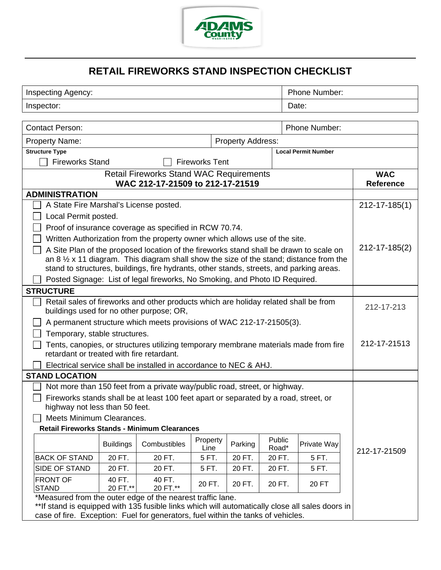

## **RETAIL FIREWORKS STAND INSPECTION CHECKLIST**

| <b>Inspecting Agency:</b>                                                                                                         |                                                            |                                                                                          |          |               |        | Phone Number:                                                                                     |                     |  |
|-----------------------------------------------------------------------------------------------------------------------------------|------------------------------------------------------------|------------------------------------------------------------------------------------------|----------|---------------|--------|---------------------------------------------------------------------------------------------------|---------------------|--|
| Inspector:                                                                                                                        |                                                            |                                                                                          |          |               |        | Date:                                                                                             |                     |  |
|                                                                                                                                   |                                                            |                                                                                          |          |               |        |                                                                                                   |                     |  |
| <b>Contact Person:</b>                                                                                                            |                                                            |                                                                                          |          | Phone Number: |        |                                                                                                   |                     |  |
| <b>Property Name:</b><br><b>Property Address:</b>                                                                                 |                                                            |                                                                                          |          |               |        |                                                                                                   |                     |  |
| <b>Structure Type</b><br><b>Local Permit Number</b>                                                                               |                                                            |                                                                                          |          |               |        |                                                                                                   |                     |  |
| <b>Fireworks Stand</b><br><b>Fireworks Tent</b>                                                                                   |                                                            |                                                                                          |          |               |        |                                                                                                   |                     |  |
| <b>Retail Fireworks Stand WAC Requirements</b><br>WAC 212-17-21509 to 212-17-21519                                                |                                                            |                                                                                          |          |               |        | <b>WAC</b><br><b>Reference</b>                                                                    |                     |  |
| <b>ADMINISTRATION</b>                                                                                                             |                                                            |                                                                                          |          |               |        |                                                                                                   |                     |  |
| A State Fire Marshal's License posted.                                                                                            |                                                            |                                                                                          |          |               |        |                                                                                                   | $212 - 17 - 185(1)$ |  |
| Local Permit posted.                                                                                                              |                                                            |                                                                                          |          |               |        |                                                                                                   |                     |  |
|                                                                                                                                   |                                                            | Proof of insurance coverage as specified in RCW 70.74.                                   |          |               |        |                                                                                                   |                     |  |
|                                                                                                                                   |                                                            | Written Authorization from the property owner which allows use of the site.              |          |               |        |                                                                                                   |                     |  |
|                                                                                                                                   |                                                            | A Site Plan of the proposed location of the fireworks stand shall be drawn to scale on   |          |               |        |                                                                                                   | 212-17-185(2)       |  |
|                                                                                                                                   |                                                            |                                                                                          |          |               |        | an 8 $\frac{1}{2}$ x 11 diagram. This diagram shall show the size of the stand; distance from the |                     |  |
|                                                                                                                                   |                                                            | stand to structures, buildings, fire hydrants, other stands, streets, and parking areas. |          |               |        |                                                                                                   |                     |  |
| Posted Signage: List of legal fireworks, No Smoking, and Photo ID Required.                                                       |                                                            |                                                                                          |          |               |        |                                                                                                   |                     |  |
| <b>STRUCTURE</b>                                                                                                                  |                                                            |                                                                                          |          |               |        |                                                                                                   |                     |  |
| Retail sales of fireworks and other products which are holiday related shall be from<br>buildings used for no other purpose; OR,  |                                                            |                                                                                          |          |               |        | 212-17-213                                                                                        |                     |  |
| A permanent structure which meets provisions of WAC 212-17-21505(3).                                                              |                                                            |                                                                                          |          |               |        |                                                                                                   |                     |  |
| Temporary, stable structures.                                                                                                     |                                                            |                                                                                          |          |               |        |                                                                                                   |                     |  |
|                                                                                                                                   |                                                            |                                                                                          |          |               |        |                                                                                                   | 212-17-21513        |  |
| Tents, canopies, or structures utilizing temporary membrane materials made from fire<br>retardant or treated with fire retardant. |                                                            |                                                                                          |          |               |        |                                                                                                   |                     |  |
| Electrical service shall be installed in accordance to NEC & AHJ.                                                                 |                                                            |                                                                                          |          |               |        |                                                                                                   |                     |  |
| <b>STAND LOCATION</b>                                                                                                             |                                                            |                                                                                          |          |               |        |                                                                                                   |                     |  |
|                                                                                                                                   |                                                            | Not more than 150 feet from a private way/public road, street, or highway.               |          |               |        |                                                                                                   |                     |  |
| Fireworks stands shall be at least 100 feet apart or separated by a road, street, or                                              |                                                            |                                                                                          |          |               |        |                                                                                                   |                     |  |
| highway not less than 50 feet.                                                                                                    |                                                            |                                                                                          |          |               |        |                                                                                                   |                     |  |
| Meets Minimum Clearances.<br><b>Retail Fireworks Stands - Minimum Clearances</b>                                                  |                                                            |                                                                                          |          |               |        |                                                                                                   |                     |  |
|                                                                                                                                   |                                                            |                                                                                          | Property |               | Public |                                                                                                   |                     |  |
|                                                                                                                                   | <b>Buildings</b>                                           | Combustibles                                                                             | Line     | Parking       | Road*  | Private Way                                                                                       | 212-17-21509        |  |
| <b>BACK OF STAND</b>                                                                                                              | 20 FT.                                                     | 20 FT.                                                                                   | 5 FT.    | 20 FT.        | 20 FT. | 5 FT.                                                                                             |                     |  |
| SIDE OF STAND                                                                                                                     | 20 FT.                                                     | 20 FT.                                                                                   | 5 FT.    | 20 FT.        | 20 FT. | 5 FT.                                                                                             |                     |  |
| <b>FRONT OF</b><br><b>STAND</b>                                                                                                   | 40 FT.<br>20 FT.**                                         | 40 FT.<br>20 FT.**                                                                       | 20 FT.   | 20 FT.        | 20 FT. | 20 FT                                                                                             |                     |  |
|                                                                                                                                   | *Measured from the outer edge of the nearest traffic lane. |                                                                                          |          |               |        |                                                                                                   |                     |  |
| **If stand is equipped with 135 fusible links which will automatically close all sales doors in                                   |                                                            |                                                                                          |          |               |        |                                                                                                   |                     |  |
| case of fire. Exception: Fuel for generators, fuel within the tanks of vehicles.                                                  |                                                            |                                                                                          |          |               |        |                                                                                                   |                     |  |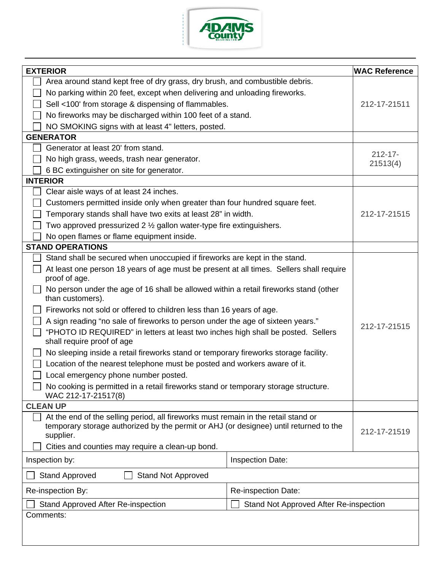

| <b>EXTERIOR</b>                                                                                           |                                                                                         | <b>WAC Reference</b> |  |  |  |
|-----------------------------------------------------------------------------------------------------------|-----------------------------------------------------------------------------------------|----------------------|--|--|--|
| Area around stand kept free of dry grass, dry brush, and combustible debris.                              |                                                                                         |                      |  |  |  |
|                                                                                                           | No parking within 20 feet, except when delivering and unloading fireworks.              |                      |  |  |  |
| Sell <100' from storage & dispensing of flammables.<br>212-17-21511                                       |                                                                                         |                      |  |  |  |
| No fireworks may be discharged within 100 feet of a stand.                                                |                                                                                         |                      |  |  |  |
| NO SMOKING signs with at least 4" letters, posted.                                                        |                                                                                         |                      |  |  |  |
| <b>GENERATOR</b>                                                                                          |                                                                                         |                      |  |  |  |
| Generator at least 20' from stand.                                                                        |                                                                                         |                      |  |  |  |
| No high grass, weeds, trash near generator.                                                               | $212 - 17$ -<br>21513(4)                                                                |                      |  |  |  |
| 6 BC extinguisher on site for generator.                                                                  |                                                                                         |                      |  |  |  |
| <b>INTERIOR</b>                                                                                           |                                                                                         |                      |  |  |  |
| Clear aisle ways of at least 24 inches.                                                                   |                                                                                         |                      |  |  |  |
| Customers permitted inside only when greater than four hundred square feet.                               |                                                                                         |                      |  |  |  |
| Temporary stands shall have two exits at least 28" in width.                                              |                                                                                         | 212-17-21515         |  |  |  |
| Two approved pressurized 2 $\frac{1}{2}$ gallon water-type fire extinguishers.                            |                                                                                         |                      |  |  |  |
| No open flames or flame equipment inside.                                                                 |                                                                                         |                      |  |  |  |
| <b>STAND OPERATIONS</b>                                                                                   |                                                                                         |                      |  |  |  |
|                                                                                                           | Stand shall be secured when unoccupied if fireworks are kept in the stand.              |                      |  |  |  |
| proof of age.                                                                                             | At least one person 18 years of age must be present at all times. Sellers shall require |                      |  |  |  |
| No person under the age of 16 shall be allowed within a retail fireworks stand (other<br>than customers). |                                                                                         |                      |  |  |  |
| Fireworks not sold or offered to children less than 16 years of age.                                      |                                                                                         |                      |  |  |  |
| A sign reading "no sale of fireworks to person under the age of sixteen years."                           |                                                                                         |                      |  |  |  |
| "PHOTO ID REQUIRED" in letters at least two inches high shall be posted. Sellers                          |                                                                                         | 212-17-21515         |  |  |  |
| shall require proof of age                                                                                |                                                                                         |                      |  |  |  |
| No sleeping inside a retail fireworks stand or temporary fireworks storage facility.                      |                                                                                         |                      |  |  |  |
| Location of the nearest telephone must be posted and workers aware of it.                                 |                                                                                         |                      |  |  |  |
| Local emergency phone number posted.                                                                      |                                                                                         |                      |  |  |  |
| No cooking is permitted in a retail fireworks stand or temporary storage structure.                       |                                                                                         |                      |  |  |  |
| WAC 212-17-21517(8)                                                                                       |                                                                                         |                      |  |  |  |
| <b>CLEAN UP</b>                                                                                           |                                                                                         |                      |  |  |  |
| At the end of the selling period, all fireworks must remain in the retail stand or                        |                                                                                         |                      |  |  |  |
| temporary storage authorized by the permit or AHJ (or designee) until returned to the                     | 212-17-21519                                                                            |                      |  |  |  |
| supplier.                                                                                                 |                                                                                         |                      |  |  |  |
| Cities and counties may require a clean-up bond.                                                          |                                                                                         |                      |  |  |  |
| Inspection by:                                                                                            | Inspection Date:                                                                        |                      |  |  |  |
| <b>Stand Approved</b><br><b>Stand Not Approved</b>                                                        |                                                                                         |                      |  |  |  |
| Re-inspection By:                                                                                         | Re-inspection Date:                                                                     |                      |  |  |  |
| <b>Stand Approved After Re-inspection</b>                                                                 | Stand Not Approved After Re-inspection                                                  |                      |  |  |  |
| Comments:                                                                                                 |                                                                                         |                      |  |  |  |
|                                                                                                           |                                                                                         |                      |  |  |  |
|                                                                                                           |                                                                                         |                      |  |  |  |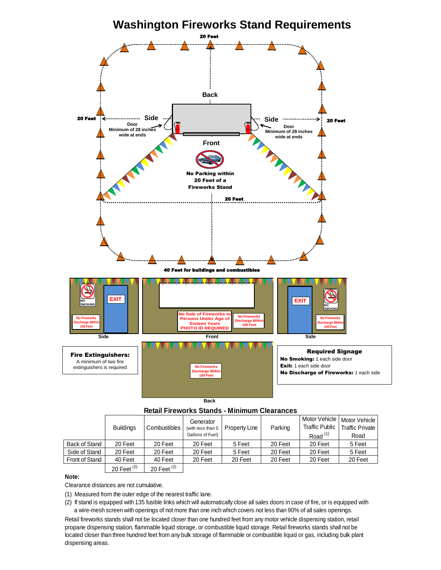

### **Retail Fireworks Stands - Minimum Clearances**

| <b>Back</b>                                                                                                                                                                                          |                  |               |                                                    |               |         |                                                      |                                                 |  |  |
|------------------------------------------------------------------------------------------------------------------------------------------------------------------------------------------------------|------------------|---------------|----------------------------------------------------|---------------|---------|------------------------------------------------------|-------------------------------------------------|--|--|
| <b>Retail Fireworks Stands - Minimum Clearances</b>                                                                                                                                                  |                  |               |                                                    |               |         |                                                      |                                                 |  |  |
|                                                                                                                                                                                                      | <b>Buildings</b> | Combustibles  | Generator<br>(with less than 5<br>Gallons of Fuel) | Property Line | Parking | Motor Vehicle<br><b>Traffic Public</b><br>Road $(1)$ | Motor Vehicle<br><b>Traffic Private</b><br>Road |  |  |
| <b>Back of Stand</b>                                                                                                                                                                                 | 20 Feet          | 20 Feet       | 20 Feet                                            | 5 Feet        | 20 Feet | 20 Feet                                              | 5 Feet                                          |  |  |
| Side of Stand                                                                                                                                                                                        | 20 Feet          | 20 Feet       | 20 Feet                                            | 5 Feet        | 20 Feet | 20 Feet                                              | 5 Feet                                          |  |  |
| <b>Front of Stand</b>                                                                                                                                                                                | 40 Feet          | 40 Feet       | 20 Feet                                            | 20 Feet       | 20 Feet | 20 Feet                                              | 20 Feet                                         |  |  |
|                                                                                                                                                                                                      | 20 Feet $(2)$    | 20 Feet $(2)$ |                                                    |               |         |                                                      |                                                 |  |  |
| Note:                                                                                                                                                                                                |                  |               |                                                    |               |         |                                                      |                                                 |  |  |
| Clearance distances are not cumulative.                                                                                                                                                              |                  |               |                                                    |               |         |                                                      |                                                 |  |  |
| (1) Measured from the outer edge of the nearest traffic lane.<br>(2) If stand is equipped with 135 fusible links which will automatically close all sales doors in case of fire, or is equipped with |                  |               |                                                    |               |         |                                                      |                                                 |  |  |

### **Note:**

(2) If stand is equipped with 135 fusible links which will automatically close all sales doors in case of fire, or is equipped with<br>a wire-mesh screen with openings of not more than one inch which covers not less than 90% a wire-mesh screen with openings of not more than one inch which covers not less than 90% of all sales openings.

Retail fireworks stands shall not be located closer than one hundred feet from any motor vehicle dispensing station, retail propane dispensing station, flammable liquid storage, or combustible liquid storage. Retail fireworks stands shall not be located closer than three hundred feet from any bulk storage of flammable or combustible liquid or gas, including bulk plant dispensing areas.